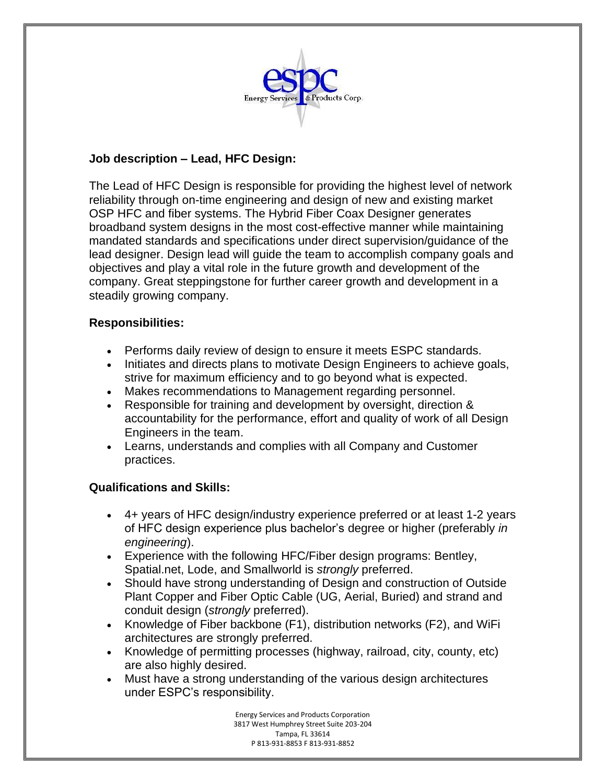

# **Job description – Lead, HFC Design:**

The Lead of HFC Design is responsible for providing the highest level of network reliability through on-time engineering and design of new and existing market OSP HFC and fiber systems. The Hybrid Fiber Coax Designer generates broadband system designs in the most cost-effective manner while maintaining mandated standards and specifications under direct supervision/guidance of the lead designer. Design lead will guide the team to accomplish company goals and objectives and play a vital role in the future growth and development of the company. Great steppingstone for further career growth and development in a steadily growing company.

### **Responsibilities:**

- Performs daily review of design to ensure it meets ESPC standards.
- Initiates and directs plans to motivate Design Engineers to achieve goals, strive for maximum efficiency and to go beyond what is expected.
- Makes recommendations to Management regarding personnel.
- Responsible for training and development by oversight, direction & accountability for the performance, effort and quality of work of all Design Engineers in the team.
- Learns, understands and complies with all Company and Customer practices.

## **Qualifications and Skills:**

- 4+ years of HFC design/industry experience preferred or at least 1-2 years of HFC design experience plus bachelor's degree or higher (preferably *in engineering*).
- Experience with the following HFC/Fiber design programs: Bentley, Spatial.net, Lode, and Smallworld is *strongly* preferred.
- Should have strong understanding of Design and construction of Outside Plant Copper and Fiber Optic Cable (UG, Aerial, Buried) and strand and conduit design (*strongly* preferred).
- Knowledge of Fiber backbone (F1), distribution networks (F2), and WiFi architectures are strongly preferred.
- Knowledge of permitting processes (highway, railroad, city, county, etc) are also highly desired.
- Must have a strong understanding of the various design architectures under ESPC's responsibility.

Energy Services and Products Corporation 3817 West Humphrey Street Suite 203-204 Tampa, FL 33614 P 813-931-8853 F 813-931-8852